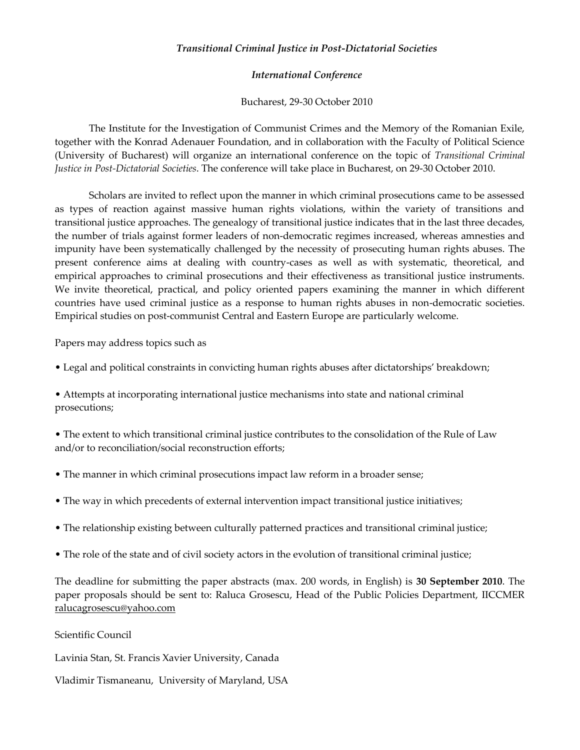## *Transitional Criminal Justice in Post-Dictatorial Societies*

## *International Conference*

Bucharest, 29-30 October 2010

The Institute for the Investigation of Communist Crimes and the Memory of the Romanian Exile, together with the Konrad Adenauer Foundation, and in collaboration with the Faculty of Political Science (University of Bucharest) will organize an international conference on the topic of *Transitional Criminal Justice in Post-Dictatorial Societies*. The conference will take place in Bucharest, on 29-30 October 2010.

Scholars are invited to reflect upon the manner in which criminal prosecutions came to be assessed as types of reaction against massive human rights violations, within the variety of transitions and transitional justice approaches. The genealogy of transitional justice indicates that in the last three decades, the number of trials against former leaders of non-democratic regimes increased, whereas amnesties and impunity have been systematically challenged by the necessity of prosecuting human rights abuses. The present conference aims at dealing with country-cases as well as with systematic, theoretical, and empirical approaches to criminal prosecutions and their effectiveness as transitional justice instruments. We invite theoretical, practical, and policy oriented papers examining the manner in which different countries have used criminal justice as a response to human rights abuses in non-democratic societies. Empirical studies on post-communist Central and Eastern Europe are particularly welcome.

Papers may address topics such as

• Legal and political constraints in convicting human rights abuses after dictatorships' breakdown;

• Attempts at incorporating international justice mechanisms into state and national criminal prosecutions;

• The extent to which transitional criminal justice contributes to the consolidation of the Rule of Law and/or to reconciliation/social reconstruction efforts;

- The manner in which criminal prosecutions impact law reform in a broader sense;
- The way in which precedents of external intervention impact transitional justice initiatives;
- The relationship existing between culturally patterned practices and transitional criminal justice;
- The role of the state and of civil society actors in the evolution of transitional criminal justice;

The deadline for submitting the paper abstracts (max. 200 words, in English) is **30 September 2010**. The paper proposals should be sent to: Raluca Grosescu, Head of the Public Policies Department, IICCMER [ralucagrosescu@yahoo.com](mailto:ralucagrosescu@yahoo.com) 

Scientific Council

Lavinia Stan, St. Francis Xavier University, Canada

Vladimir Tismaneanu, University of Maryland, USA